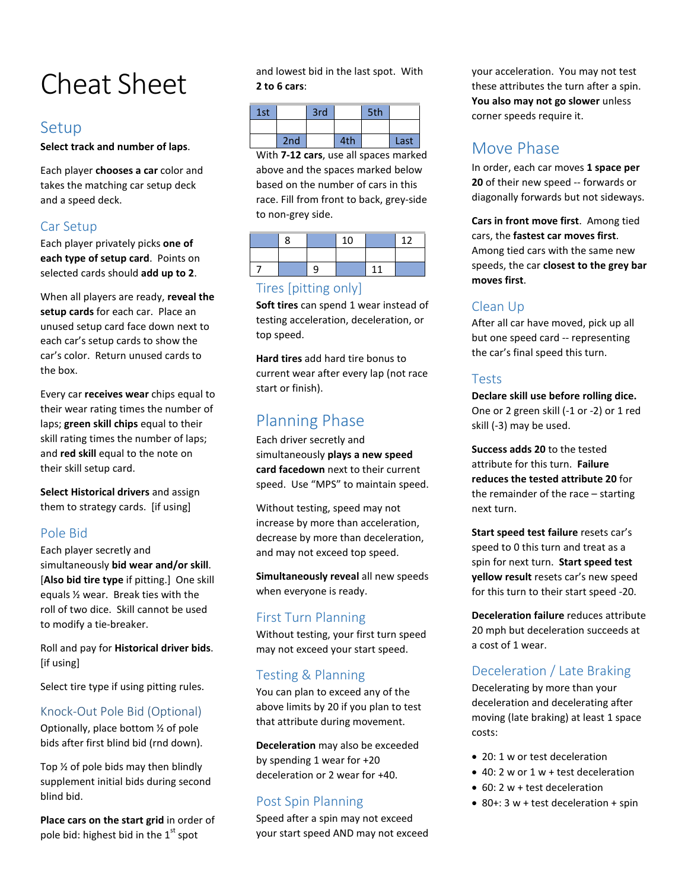# Cheat Sheet

## Setup

**Select track and number of laps**.

Each player **chooses a car** color and takes the matching car setup deck and a speed deck.

## Car Setup

Each player privately picks **one of each type of setup card**. Points on selected cards should **add up to 2**.

When all players are ready, **reveal the setup cards** for each car. Place an unused setup card face down next to each car's setup cards to show the car's color. Return unused cards to the box.

Every car **receives wear** chips equal to their wear rating times the number of laps; **green skill chips** equal to their skill rating times the number of laps; and **red skill** equal to the note on their skill setup card.

**Select Historical drivers** and assign them to strategy cards. [if using]

## Pole Bid

Each player secretly and simultaneously **bid wear and/or skill**. [**Also bid tire type** if pitting.] One skill equals ½ wear. Break ties with the roll of two dice. Skill cannot be used to modify a tie-breaker.

Roll and pay for **Historical driver bids**. [if using]

Select tire type if using pitting rules.

#### Knock-Out Pole Bid (Optional)

Optionally, place bottom ½ of pole bids after first blind bid (rnd down).

Top ½ of pole bids may then blindly supplement initial bids during second blind bid.

**Place cars on the start grid** in order of pole bid: highest bid in the  $1<sup>st</sup>$  spot

and lowest bid in the last spot. With **2 to 6 cars**:

| 1st |     | 3rd |     | 5th |      |
|-----|-----|-----|-----|-----|------|
|     |     |     |     |     |      |
|     | 2nd |     | 4th |     | Last |

With **7-12 cars**, use all spaces marked above and the spaces marked below based on the number of cars in this race. Fill from front to back, grey-side to non-grey side.

|  | 10 |  |
|--|----|--|
|  |    |  |
|  |    |  |

#### Tires [pitting only]

**Soft tires** can spend 1 wear instead of testing acceleration, deceleration, or top speed.

**Hard tires** add hard tire bonus to current wear after every lap (not race start or finish).

## Planning Phase

Each driver secretly and simultaneously **plays a new speed card facedown** next to their current speed. Use "MPS" to maintain speed.

Without testing, speed may not increase by more than acceleration, decrease by more than deceleration, and may not exceed top speed.

**Simultaneously reveal** all new speeds when everyone is ready.

## First Turn Planning

Without testing, your first turn speed may not exceed your start speed.

## Testing & Planning

You can plan to exceed any of the above limits by 20 if you plan to test that attribute during movement.

**Deceleration** may also be exceeded by spending 1 wear for +20 deceleration or 2 wear for +40.

## Post Spin Planning

Speed after a spin may not exceed your start speed AND may not exceed

your acceleration. You may not test these attributes the turn after a spin. **You also may not go slower** unless corner speeds require it.

## Move Phase

In order, each car moves **1 space per 20** of their new speed -- forwards or diagonally forwards but not sideways.

**Cars in front move first**. Among tied cars, the **fastest car moves first**. Among tied cars with the same new speeds, the car **closest to the grey bar moves first**.

## Clean Up

After all car have moved, pick up all but one speed card -- representing the car's final speed this turn.

#### Tests

**Declare skill use before rolling dice.** One or 2 green skill (-1 or -2) or 1 red skill (-3) may be used.

**Success adds 20** to the tested attribute for this turn. **Failure reduces the tested attribute 20** for the remainder of the race – starting next turn.

**Start speed test failure** resets car's speed to 0 this turn and treat as a spin for next turn. **Start speed test yellow result** resets car's new speed for this turn to their start speed -20.

**Deceleration failure** reduces attribute 20 mph but deceleration succeeds at a cost of 1 wear.

## Deceleration / Late Braking

Decelerating by more than your deceleration and decelerating after moving (late braking) at least 1 space costs:

- 20: 1 w or test deceleration
- 40: 2 w or 1 w + test deceleration
- 60: 2 w + test deceleration
- 80+: 3 w + test deceleration + spin